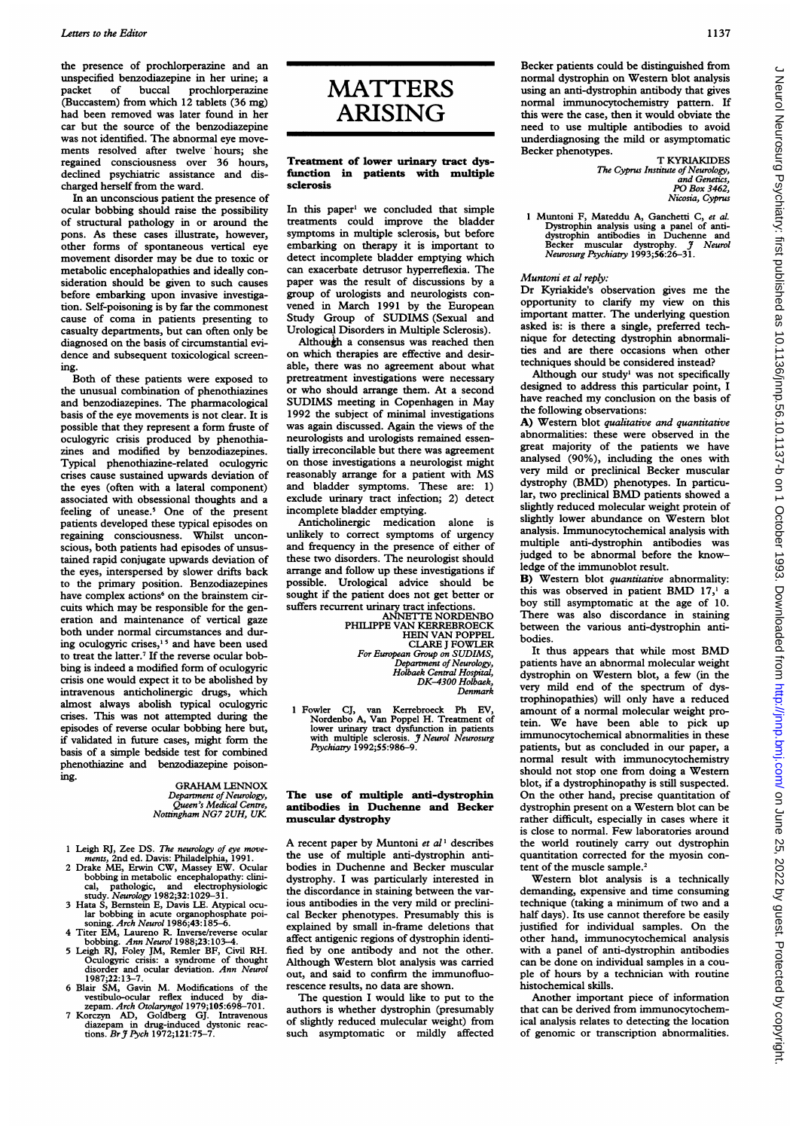the presence of prochlorperazine and an unspecified benzodiazepine in her urine; a<br>packet of buccal prochlorperazine packet of buccal prochlorperazine (Buccastem) from which 12 tablets (36 mg) had been removed was later found in her car but the source of the benzodiazepine was not identified. The abnormal eye movements resolved after twelve hours; she regained consciousness over 36 hours, declined psychiatric assistance and discharged herself from the ward.

In an unconscious patient the presence of ocular bobbing should raise the possibility of structural pathology in or around the pons. As these cases illustrate, however, other forms of spontaneous vertical eye movement disorder may be due to toxic or metabolic encephalopathies and ideally consideration should be given to such causes before embarking upon invasive investigation. Self-poisoning is by far the commonest cause of coma in patients presenting to casualty departments, but can often only be diagnosed on the basis of circumstantial evidence and subsequent toxicological screening.

Both of these patients were exposed to the unusual combination of phenothiazines and benzodiazepines. The pharmacological basis of the eye movements is not clear. It is possible that they represent a form fruste of oculogyric crisis produced by phenothiazines and modified by benzodiazepines. Typical phenothiazine-related oculogyric crises cause sustained upwards deviation of the eyes (often with a lateral component) associated with obsessional thoughts and a feeling of unease.<sup>5</sup> One of the present patients developed these typical episodes on regaining consciousness. Whilst unconscious, both patients had episodes of unsustained rapid conjugate upwards deviation of the eyes, interspersed by slower drifts back to the primary position. Benzodiazepines have complex actions<sup>6</sup> on the brainstem circuits which may be responsible for the generation and maintenance of vertical gaze both under normal circumstances and during oculogyric crises,<sup>15</sup> and have been used to treat the latter.<sup>7</sup> If the reverse ocular bobbing is indeed a modified form of oculogyric crisis one would expect it to be abolished by intravenous anticholinergic drugs, which almost always abolish typical oculogyric crises. This was not attempted during the episodes of reverse ocular bobbing here but, if validated in future cases, might form the basis of a simple bedside test for combined phenothiazine and benzodiazepine poisoning.

GRAHAM LENNOX<br>Department of Neurology,<br>Queen's Medical Centre, Nottingham NG7 2UH, UK

- 1 Leigh RJ, Zee DS. The neurology of eye move-<br>ments, 2nd ed. Davis: Philadelphia, 1991.<br>Drake ME, Erwin CW, Massey EW. Ocular<br>bobbing in metabolic encephalopathy: clinical, pathologic, and electrophysiologic<br>study. *Neurology* 1982;32:1029–31.<br>3 Hata S, Bernstein E, Davis LE. Atypical ocu-
- 
- 
- lar bobbing in acute organophosphate poi-<br>soning. Arch Neurol 1986;43:185-6.<br>4 Titer EM, Laureno R. Inverse/reverse ocular<br>bobbing. Ann Neurol 1988;23:103-4.<br>5 Leigh RJ, Foley JM, Remler BF, Civil RH.<br>Oculogyric crisis: a
- 
- 1987;22:13-7.<br>6 Blair SM, Gavin M. Modifications of the<br>1987 with SM, Gavin M. Modifications of the<br>1992 with the vestibulo-ocular reflex induced by dia-<br>1993. Intravenous<br>7 Korczyn AD, Goldberg GJ. Intravenous<br>diazepan i

# **MATTERS** ARISING

## Treatment of lower urinary tract dysfunction in patients with multiple sclerosis

In this paper' we concluded that simple treatments could improve the bladder symptoms in multiple sclerosis, but before embarking on therapy it is important to detect incomplete bladder emptying which can exacerbate detrusor hyperreflexia. The paper was the result of discussions by a group of urologists and neurologists convened in March 1991 by the European Study Group of SUDIMS (Sexual and Urological Disorders in Multiple Sclerosis).

Although a consensus was reached then on which therapies are effective and desirable, there was no agreement about what pretreatment investigations were necessary or who should arrange them. At a second SUDIMS meeting in Copenhagen in May 1992 the subject of minimal investigations was again discussed. Again the views of the neurologists and urologists remained essentially irreconcilable but there was agreement on those investigations a neurologist might reasonably arrange for <sup>a</sup> patient with MS and bladder symptoms. These are: 1) exclude urinary tract infection; 2) detect incomplete bladder emptying.

Anticholinergic medication alone is unlikely to correct symptoms of urgency and frequency in the presence of either of these two disorders. The neurologist should arrange and follow up these investigations if<br>possible. Urological advice should be Urological advice should be sought if the patient does not get better or

suffers recurrent urinary tract infections. ANNElTE NORDENBO PHILIPPE VAN KERREBROECK HEIN VAN POPPEL<br>CLARE J FOWLER<br>For European Group on SUDIMS,<br>Department of Neurology,<br>Holbaek Central Hospital,<br>DK-4300 Holbaek, Denmark

1 Fowler CJ, van Kerrebroeck Ph EV,<br>
Nordenbo A, Van Poppel H. Treatment of<br>
lower urinary tract dysfunction in patients<br>
with multiple sclerosis. *J Neurol Neurosurg*<br> *Psychiatry* 1992;55:986-9.

#### The use of multiple anti-dystrophin antibodies in Duchenne and Becker muscular dystrophy

A recent paper by Muntoni et  $al<sup>1</sup>$  describes the use of multiple anti-dystrophin antibodies in Duchenne and Becker muscular dystrophy. <sup>I</sup> was particularly interested in the discordance in staining between the various antibodies in the very mild or preclinical Becker phenotypes. Presumably this is explained by small in-frame deletions that affect antigenic regions of dystrophin identified by one antibody and not the other. Although Western blot analysis was carried out, and said to confirm the immunofluorescence results, no data are shown.

The question <sup>I</sup> would like to put to the authors is whether dystrophin (presumably of slightly reduced mulecular weight) from such asymptomatic or mildly affected

Becker patients could be distinguished from normal dystrophin on Western blot analysis using an anti-dystrophin antibody that gives normal immunocytochemistry pattern. If this were the case, then it would obviate the need to use multiple antibodies to avoid underdiagnosing the mild or asymptomatic Becker phenotypes.

T KYRIAKIDES The Cyprus Institute of Neurology, and Genetics, PO Box 3462, Nicosia, Cyprus

<sup>1</sup> Muntoni F, Mateddu A, Ganchetti C, et al. Dystrophin analysis using a panel of anti-<br>dystrophin antibodies in Duchenne and<br>Becker muscular dystrophy. *J<sup>7</sup> Neurol<br>Neurosurg Psychiatry* 1993;56:26-31.

## Muntoni et al reply:

Dr Kyriakide's observation gives me the opportunity to clarify my view on this important matter. The underlying question asked is: is there a single, preferred technique for detecting dystrophin abnornalities and are there occasions when other techniques should be considered instead?

Although our study' was not specifically designed to address this particular point, I have reached my conclusion on the basis of the following observations:

A) Western blot qualitative and quantitative abnormalities: these were observed in the great majority of the patients we have analysed (90%), including the ones with very mild or preclinical Becker muscular dystrophy (BMD) phenotypes. In particular, two preclinical BMD patients showed <sup>a</sup> slightly reduced molecular weight protein of slightly lower abundance on Western blot analysis. Immunocytochemical analysis with multiple anti-dystrophin antibodies was judged to be abnormal before the knowledge of the immunoblot result.

B) Western blot quantitative abnormality: this was observed in patient BMD 17,' <sup>a</sup> boy still asymptomatic at the age of 10. There was also discordance in staining between the various anti-dystrophin antibodies.

It thus appears that while most BMD patients have an abnormal molecular weight dystrophin on Western blot, a few (in the very mild end of the spectrum of dystrophinopathies) will only have a reduced amount of a normal molecular weight protein. We have been able to pick up immunocytochemical abnormalities in these patients, but as concluded in our paper, a normal result with immunocytochemistry should not stop one from doing a Western blot, if a dystrophinopathy is still suspected. On the other hand, precise quantitation of dystrophin present on a Western blot can be rather difficult, especially in cases where it is close to normal. Few laboratories around the world routinely carry out dystrophin quantitation corrected for the myosin content of the muscle sample.<sup>3</sup>

Western blot analysis is a technically demanding, expensive and time consuming technique (taking a minimum of two and a half days). Its use cannot therefore be easily justified for individual samples. On the other hand, immunocytochemical analysis with a panel of anti-dystrophin antibodies can be done on individual samples in a couple of hours by a technician with routine histochemical skills.

Another important piece of information that can be derived from immunocytochemical analysis relates to detecting the location of genomic or transcription abnormalities.